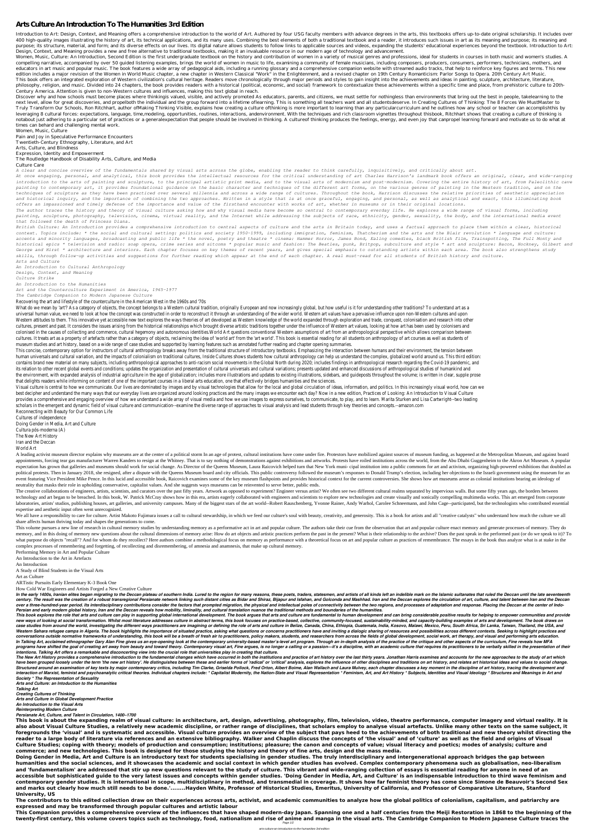# **Arts Culture An Introduction To The Humanities 3rd Edition**

Introduction to Art: Design, Context, and Meaning offers a comprehensive introduction to the world of Art. Authored by four USG faculty members with advance degrees in the arts, this textbooks offers up-to-date original sc 400 high-quality images illustrating the history of art, its technical applications, and its many uses. Combining the best elements of both a traditional textbook and a reader, it introduces such issues in art as its meani purpose; its structure, material, and form; and its diverse effects on our lives. Its digital nature allows students to follow links to applicable sources and videos, expanding the students' educational experiences beyond Design, Context, and Meaning provides a new and free alternative to traditional textbooks, making it an invaluable resource in our modern age of technology and advancement.

Women, Music, Culture: An Introduction, Second Edition is the first undergraduate textbook on the history and contribution of women in a variety of musical genres and professions, ideal for students in courses in both musi compelling narrative, accompanied by over 50 guided listening examples, brings the world of women in music to life, examining a community of female musicians, including composers, producers, consumers, performers, technici educators in art music and popular music. The book features a wide array of pedagogical aids, including a running glossary and a comprehensive companion website with streamed audio tracks, that help to reinforce key figure edition includes a major revision of the Women in World Music chapter, a new chapter in Western Classical "Work" in the Enlightenment, and a revised chapter on 19th Century Romanticism: Parlor Songs to Opera, 20th Century This book offers an integrated exploration of Western civilization's cultural heritage. Readers move chronologically through major periods and styles to gain insight into the achievements and ideas in painting, sculpture, philosophy, religion, and music. Divided into 24 chapters, the book provides readers with a historical (political, economic, and social) framework to contextualize these achievements within a specific time and place, from Century America. Attention is given to non-Western cultures and influences, making this text global in reach.

Discover why and how schools must become places where thinkingis valued, visible, and actively promoted As educators, parents, and citizens, we must settle for nothingless than environments that bring out the best in peopl next level, allow for great discoveries, and propelboth the individual and the group forward into a lifetime oflearning. This is something all teachers want and all studentsdeserve. In Creating Cultures of Thinking: The 8 Truly Transform Our Schools, Ron Ritchhart, author ofMaking Thinking Visible, explains how creating a culture ofthinking is more important to learning than any particular curriculum and he outlines how any school or teache leveraging 8 cultural forces: expectations, language, time,modeling, opportunities, routines, interactions, andenvironment. With the techniques and rich classroom vignettes throughout thisbook, Ritchhart shows that creatin notabout just adhering to a particular set of practices or a generalexpectation that people should be involved in thinking. A culture of thinking produces the feelings, energy, and even joy that canpropel learning forward times can behard and challenging mental work.

Women, Music, Culture Pain and Joy in Speculative Performance Encounters Twentieth-Century Ethnography, Literature, and Art Arts, Culture, and Blindness Expression, Identity and Empowerment The Routledge Handbook of Disability Arts, Culture, and Media

### Culture Care

*A clear and concise overview of the fundamentals shared by visual arts across the globe, enabling the reader to think carefully, inquisitively, and critically about art.*

*At once engaging, personal, and analytical, this book provides the intellectual resources for the critical understanding of art Charles Harrison's landmark book offers an original, clear, and wide-ranging introduction to the arts of painting and sculpture, to the principal artistic print media, and to the visual arts of modernism and post-modernism. Covering the entire history of art, from Paleolithic cave painting to contemporary art, it provides foundational guidance on the basic character and techniques of the different art forms, on the various genres of painting in the Western tradition, and on the techniques of sculpture as they have been practiced over several millennia and across a wide range of cultures. Throughout the book, Harrison discusses the relative priorities of aesthetic appreciation and historical inquiry, and the importance of combining the two approaches. Written in a style that is at once graceful, engaging, and personal, as well as analytical and exact, this illuminating book offers an impassioned and timely defense of the importance and value of the firsthand encounter with works of art, whether in museums or in their original locations.*

What do we mean by 'art'? As a category of objects, the concept belongs to a Western cultural tradition, originally European and now increasingly global, but how useful is it universal human value, we need to look at how the concept was constructed in order to reconstruct it through an understanding of the wider world. Western art values have Western attitudes to them. This innovative yet accessible new text explores the ways theories of art developed as Western knowledge of the world expanded through exploral cultures, present and past. It considers the issues arising from the historical relationships which brought diverse artistic traditions together under the influence of Western a colonised in the causes of collecting and commerce, cultural hegemony and autonomous identities.World Art questions conventional Western assumptions of art from an anthr cultures. It treats art as a property of artefacts rather than a category of objects, reclaiming the idea of 'world art' from the 'art world'. This book is essential reading for all museum studies and art history, based on a wide range of case studies and supported by learning features such as annotated further reading and chapter opening summaries. This concise, contemporary option for instructors of cultural anthropology breaks away from the traditional structure of introductory textbooks. Emphasizing the interaction k human universals and cultural variation, and the impacts of colonialism on traditional cultures, Inside Cultures shows students how cultural anthropology can help us understal contains brand new material on many subjects, including anthropological approaches to anti-racism social movements in the Global North during 2020; includes findings in anth its relation to other recent global events and conditions; updates the organization and presentation of cultural universals and cultural variations; presents updated and enhance the environment, with expanded analysis of industrial agriculture in the age of globalization; includes more illustrations and updates to existing illustrations, sidebars, and quide that delights readers while informing on content of one of the important courses in a liberal arts education, one that effectively bridges humanities and the sciences. Visual culture is central to how we communicate. Our lives are dominated by images and by visual technologies that allow for the local and global circulation of ideas, informat best decipher and understand the many ways that our everyday lives are organized around looking practices and the many images we encounter each day? Now in a new editi provides a comprehensive and engaging overview of how we understand a wide array of visual media and how we use images to express ourselves, to communicate, to play, a scholars in the emergent and dynamic field of visual culture and communication--examine the diverse range of approaches to visual analysis and lead students through key the Reconnecting with Beauty for Our Common Life Cultures of independence

*The author traces the history and theory of visual culture asking how and why visual media have become so central to contemporary everday life. He explores a wide range of visual forms, including painting, sculpture, photography, television, cinema, virtual reality, and the Internet while addressing the subjects of race, ethnicity, gender, sexuality, the body, and the international media event that followed the death of Princess Diana.*

A leading activist museum director explains why museums are at the center of a political storm In an age of protest, cultural institutions have come under fire. Protestors have mobilized against sources of museum funding, appointments, forcing tear gas manufacturer Warren Kanders to resign at the Whitney. That is to say nothing of demonstrations against exhibitions and artworks. Protests have roiled institutions across the world, from the A expectation has grown that galleries and museums should work for social change. As Director of the Queens Museum, Laura Raicovich helped turn that New York muni- cipal institution into a public commons for art and activism political protests. Then in January 2018, she resigned, after a dispute with the Queens Museum board and city officials. This public controversy followed the museum's responses to Donald Trump's election, including her obj event featuring Vice President Mike Pence. In this lucid and accessible book, Raicovich examines some of the key museum flashpoints and provides historical context for the current controversies. She shows how art museums a neutrality that masks their role in upholding conservative, capitalist values. And she suggests ways museums can be reinvented to serve better, public ends.

*British Culture: An Introduction provides a comprehensive introduction to central aspects of culture and the arts in Britain today, and uses a factual approach to place them within a clear, historical context. Topics include: \* the social and cultural setting: politics and society 1950-1999, including immigration, feminism, Thatcherism and the arts and the Blair revolution \* language and culture: accents and minority languages, broadcasting and public life \* the novel, poetry and theatre \* cinema: Hammer Horror, James Bond, Ealing comedies, black British film, Trainspotting, The Full Monty and historical epics \* television and radio: soap opera, crime series and sitcoms \* popular music and fashion: The Beatles, punk, Britpop, subculture and style \* art and sculpture: Bacon, Hockney, Gilbert and George and Hirst \* architecture and interiors. Each chapter focuses on key themes of recent years, and gives special emphasis to outstanding artists within each area. The book also strengthens study skills, through follow-up activities and suggestions for further reading which appear at the end of each chapter. A real must-read for all students of British history and culture. Arts and Culture*

The creative collaborations of engineers, artists, scientists, and curators over the past fifty years. Artwork as opposed to experiment? Engineer versus artist? We often see two different cultural realms separated by imper technology and art began to be breached. In this book, W. Patrick McCray shows how in this era, artists eagerly collaborated with engineers and scientists to explore new technologies and create visually and sonically compe laboratories, artists' studios, publishing houses, art galleries, and university campuses. Many of the biggest stars of the art world--Robert Rauschenberg, Yvonne Rainer, Andy Warhol, Carolee Schneemann, and John Cage--par expertise and aesthetic input often went unrecognized.

We all have a responsibility to care for culture. Artist Makoto Fujimura issues a call to cultural stewardship, in which we feed our culture's soul with beauty, creativity, and generosity. This is a book for artists and al share affects human thriving today and shapes the generations to come.

*An Introduction to Cultural Anthropology Design, Context, and Meaning*

*Culture Strike*

*An Introduction to the Humanities*

*Art and the Counterculture Experiment in America, 1965-1977*

*The Cambridge Companion to Modern Japanese Culture*

Recovering the art and lifestyle of the counterculture in the American West in the 1960s and '70s

This volume pursues a new line of research in cultural memory studies by understanding memory as a performative act in art and popular culture. The authors take their cue from the observation that art and popular culture e memory, and in this doing of memory new questions about the cultural dimensions of memory arise: How do art objects and artistic practices perform the past in the present? What is their relationship to the archive? Does th what purpose do objects "recall"? And for whom do they recollect? Here authors combine a methodological focus on memory as performance with a theoretical focus on art and popular culture as practices of remembrance. The es complex processes of remembering and forgetting, of recollecting and disremembering, of amnesia and anamnesis, that make up cultural memory.

In the early 1400s, Iranian elites began migrating to the Deccan plateau of southern India. Lured to the region for many reasons, these poets, traders, statesmen, and artists of all kinds left an indelible mark on the Isla century. The result was the creation of a robust transregional Persianate network linking such distant cities as Bidar and Shiraz, Bijapur and Isfahan, and Golconda and Mashhad. Iran and the Deccan explores the circulation over a three-hundred-year period. Its interdisciplinary contributions consider the factors that prompted migration, the physical and intellectual poles of connectivity between the two regions, and processes of adaptation a *Persian and early modern global history, Iran and the Deccan reveals how mobility, liminality, and cultural translation nuance the traditional methods and boundaries of the humanities.*

This book explores the role that arts and culture can play in supporting global international development. The book argues that arts and culture are fundamental to human development and can bring considerable positive resu new ways of looking at social transformation. Whilst most literature addresses culture in abstract terms, this book focuses on practice-based, collective, community-focused, sustainability-minded, and capacity-building exa case studies from around the world, investigating the different ways practitioners are imagining or defining the role of arts and culture in Belize, Canada, China, Ethiopia, Guatemala, India, Kosovo, Malawi, Mexico, Peru, Western Sahara refugee camps in Algeria. The book highlights the importance of situated practice, asking what questions or concerns practitioners have and inviting a dialogic sharing of resources and possibilities across d conversations outside normative frameworks of understanding, this book will be a breath of fresh air to practitioners, policy makers, students, and researchers from across the fields of global development, social work, art In Talking Art, acclaimed ethnographer Gary Alan Fine gives us an eye-opening look at the contemporary university-based master's-level art program. Through an in-depth analysis of the practice of the critique and other asp programs have shifted the goal of creating art away from beauty and toward theory. Contemporary visual art, Fine argues, is no longer a calling or a passion-it's a discipline, with an academic culture that requires its pra *intentions. Talking Art offers a remarkable and disconcerting view into the crucial role that universities play in creating that culture.* The New Art History provides a comprehensive introduction to the fundamental changes which have occurred in both the institutions and practice of art history over the last thirty years. Jonathan Harris examines and account have been grouped loosely under the term 'the new art history'. He distinguishes between these and earlier forms of 'radical' or 'critical' analysis, explores the influence of other disciplines and traditions on art histor Structured around an examination of key texts by major contemporary critics, including Tim Clarke, Griselda Pollock, Fred Orton, Albert Boime, Alan Wallach and Laura Mulvey, each chapter discusses a key moment in the disci interaction of Marxist, feminist and psychoanalytic critical theories. Individual chapters include: \* Capitalist Modernity, the Nation-State and Visual Representation \* Feminism, Art, and Art History \* Subjects, Identities *Society \* The Representation of Sexuality Arts and Culture: an Intoduction to the Humanities*

Doing Gender in Media, Art and Culture

Cultura pós-moderna (A)

The New Art History

Iran and the Deccan

World Art

Performing Memory in Art and Popular Culture

An Introduction to the Art in Artefacts

An Introduction

A Study of Blind Students in the Visual Arts

Art as Culture

ARTistic Pursuits Early Elementary K-3 Book One

How Cold War Engineers and Artists Forged a New Creative Culture

*Talking Art*

*Creating Cultures of Thinking*

*Arts and Culture in Global Development Practice*

*An Introduction to the Visual Arts*

*Reinterpreting Modern Culture*

*Persianate Art, Culture, and Talent in Circulation, 1400–1700*

**This book is about the expanding realm of visual culture: in architecture, art, design, advertising, photography, film, television, video, theatre performance, computer imagery and virtual reality. It is also about Visual Culture Studies, a relatively new academic discipline, or rather range of disciplines, that scholars employ to analyse visual artefacts. Unlike many other texts on the same subject, it foregrounds the 'visual' and is systematic and accessible. Visual culture provides an overview of the subject that pays heed to the achievements of both traditional and new theory whilst directing the reader to a large body of literature via references and an extensive bibliography. Walker and Chaplin discuss the concepts of 'the visual' and of 'culture' as well as the field and origins of Visual Culture Studies; coping with theory; models of production and consumption; institutions; pleasure; the canon and concepts of value; visual literacy and poetics; modes of analysis; culture and commerce; and new technologies. This book is designed for those studying the history and theory of fine arts, design and the mass media.**

**Doing Gender in Media, Art and Culture is an introductory text for students specialising in gender studies. The truly interdisciplinary and intergenerational approach bridges the gap between humanities and the social sciences, and it showcases the academic and social context in which gender studies has evolved. Complex contemporary phenomena such as globalisation, neo-liberalism and 'fundamentalism' are addressed that stir up new questions relevant to the study of culture. This vibrant and wide-ranging collection of essays is essential reading for anyone in need of an accessible but sophisticated guide to the very latest issues and concepts within gender studies. 'Doing Gender in Media, Art, and Culture' is an indispensable introduction to third wave feminism and contemporary gender studies. It is international in scope, multidisciplinary in method, and transmedial in coverage. It shows how far feminist theory has come since Simone de Beauvoir's Second Sex and marks out clearly how much still needs to be done.'........Hayden White, Professor of Historical Studies, Emeritus, University of California, and Professor of Comparative Literature, Stanford University, US**

**The contributors to this edited collection draw on their experiences across arts, activist, and academic communities to analyze how the global politics of colonialism, capitalism, and patriarchy are expressed and may be transformed through popular cultures and artistic labour**

**This Companion provides a comprehensive overview of the influences that have shaped modern-day Japan. Spanning one and a half centuries from the Meiji Restoration in 1868 to the beginning of the twenty-first century, this volume covers topics such as technology, food, nationalism and rise of anime and manga in the visual arts. The Cambridge Companion to Modern Japanese Culture traces the**